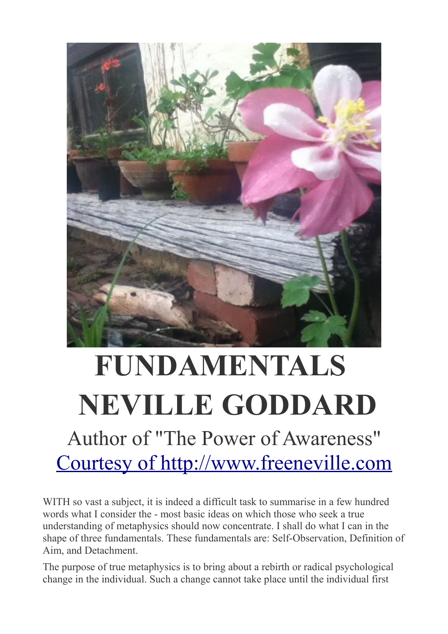

## **FUNDAMENTALS NEVILLE GODDARD** Author of "The Power of Awareness" [Courtesy of http://www.freeneville.com](http://www.freeneville.com/)

WITH so vast a subject, it is indeed a difficult task to summarise in a few hundred words what I consider the - most basic ideas on which those who seek a true understanding of metaphysics should now concentrate. I shall do what I can in the shape of three fundamentals. These fundamentals are: Self-Observation, Definition of Aim, and Detachment.

The purpose of true metaphysics is to bring about a rebirth or radical psychological change in the individual. Such a change cannot take place until the individual first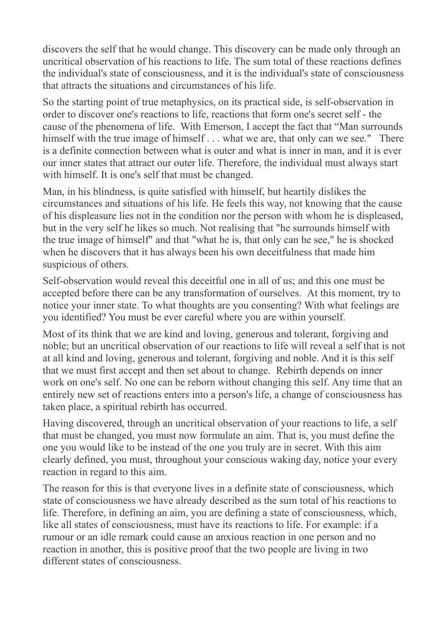discovers the self that he would change. This discovery can be made only through an uncritical observation of his reactions to life. The sum total of these reactions defines the individual's state of consciousness, and it is the individual's state of consciousness that attracts the situations and circumstances of his life.

So the starting point of true metaphysics, on its practical side, is self-observation in order to discover one's reactions to life, reactions that form one's secret self - the cause of the phenomena of life. With Emerson, I accept the fact that "Man surrounds himself with the true image of himself . . . what we are, that only can we see." There is a definite connection between what is outer and what is inner in man, and it is ever our inner states that attract our outer life. Therefore, the individual must always start with himself. It is one's self that must be changed.

Man, in his blindness, is quite satisfied with himself, but heartily dislikes the circumstances and situations of his life. He feels this way, not knowing that the cause of his displeasure lies not in the condition nor the person with whom he is displeased, but in the very self he likes so much. Not realising that "he surrounds himself with the true image of himself" and that "what he is, that only can he see," he is shocked when he discovers that it has always been his own deceitfulness that made him suspicious of others.

Self-observation would reveal this deceitful one in all of us; and this one must be accepted before there can be any transformation of ourselves. At this moment, try to notice your inner state. To what thoughts are you consenting? With what feelings are you identified? You must be ever careful where you are within yourself.

Most of its think that we are kind and loving, generous and tolerant, forgiving and noble; but an uncritical observation of our reactions to life will reveal a self that is not at all kind and loving, generous and tolerant, forgiving and noble. And it is this self that we must first accept and then set about to change. Rebirth depends on inner work on one's self. No one can be reborn without changing this self. Any time that an entirely new set of reactions enters into a person's life, a change of consciousness has taken place, a spiritual rebirth has occurred.

Having discovered, through an uncritical observation of your reactions to life, a self that must be changed, you must now formulate an aim. That is, you must define the one you would like to be instead of the one you truly are in secret. With this aim clearly defined, you must, throughout your conscious waking day, notice your every reaction in regard to this aim.

The reason for this is that everyone lives in a definite state of consciousness, which state of consciousness we have already described as the sum total of his reactions to life. Therefore, in defining an aim, you are defining a state of consciousness, which, like all states of consciousness, must have its reactions to life. For example: if a rumour or an idle remark could cause an anxious reaction in one person and no reaction in another, this is positive proof that the two people are living in two different states of consciousness.